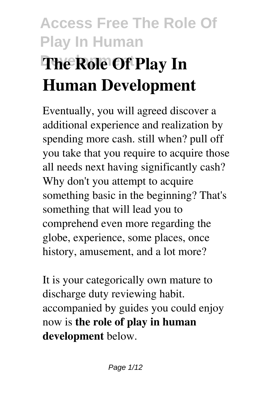# **Access Free The Role Of Play In Human The Role Of Play In Human Development**

Eventually, you will agreed discover a additional experience and realization by spending more cash. still when? pull off you take that you require to acquire those all needs next having significantly cash? Why don't you attempt to acquire something basic in the beginning? That's something that will lead you to comprehend even more regarding the globe, experience, some places, once history, amusement, and a lot more?

It is your categorically own mature to discharge duty reviewing habit. accompanied by guides you could enjoy now is **the role of play in human development** below.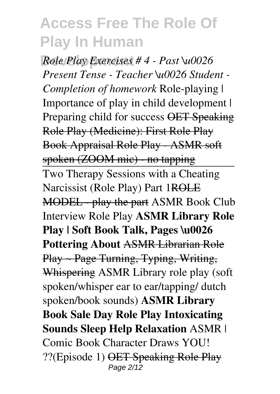**Development** *Role Play Exercises # 4 - Past \u0026 Present Tense - Teacher \u0026 Student - Completion of homework* Role-playing | Importance of play in child development | Preparing child for success OET Speaking Role Play (Medicine): First Role Play Book Appraisal Role Play - ASMR soft spoken (ZOOM mic) - no tapping Two Therapy Sessions with a Cheating Narcissist (Role Play) Part 1ROLE MODEL - play the part ASMR Book Club Interview Role Play **ASMR Library Role Play | Soft Book Talk, Pages \u0026 Pottering About** ASMR Librarian Role Play ~ Page Turning, Typing, Writing, Whispering ASMR Library role play (soft spoken/whisper ear to ear/tapping/ dutch spoken/book sounds) **ASMR Library Book Sale Day Role Play Intoxicating Sounds Sleep Help Relaxation** ASMR | Comic Book Character Draws YOU! ??(Episode 1) OET Speaking Role Play Page 2/12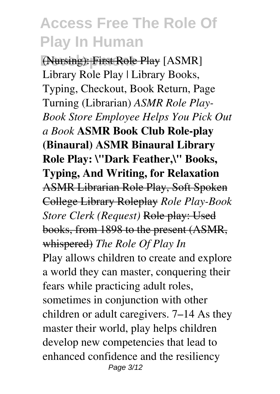**Development** (Nursing): First Role Play [ASMR] Library Role Play | Library Books, Typing, Checkout, Book Return, Page Turning (Librarian) *ASMR Role Play-Book Store Employee Helps You Pick Out a Book* **ASMR Book Club Role-play (Binaural) ASMR Binaural Library Role Play: \"Dark Feather,\" Books, Typing, And Writing, for Relaxation** ASMR Librarian Role Play, Soft Spoken College Library Roleplay *Role Play-Book Store Clerk (Request)* Role play: Used books, from 1898 to the present (ASMR, whispered) *The Role Of Play In* Play allows children to create and explore a world they can master, conquering their fears while practicing adult roles, sometimes in conjunction with other children or adult caregivers. 7–14 As they master their world, play helps children develop new competencies that lead to enhanced confidence and the resiliency Page 3/12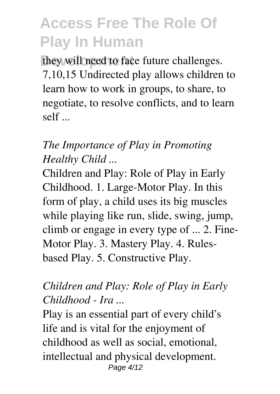they will need to face future challenges. 7,10,15 Undirected play allows children to learn how to work in groups, to share, to negotiate, to resolve conflicts, and to learn self ...

#### *The Importance of Play in Promoting Healthy Child ...*

Children and Play: Role of Play in Early Childhood. 1. Large-Motor Play. In this form of play, a child uses its big muscles while playing like run, slide, swing, jump, climb or engage in every type of ... 2. Fine-Motor Play. 3. Mastery Play. 4. Rulesbased Play. 5. Constructive Play.

#### *Children and Play: Role of Play in Early Childhood - Ira ...*

Play is an essential part of every child's life and is vital for the enjoyment of childhood as well as social, emotional, intellectual and physical development. Page 4/12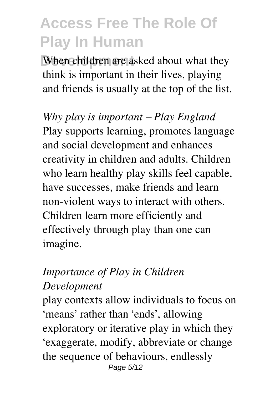When children are asked about what they think is important in their lives, playing and friends is usually at the top of the list.

*Why play is important – Play England* Play supports learning, promotes language and social development and enhances creativity in children and adults. Children who learn healthy play skills feel capable, have successes, make friends and learn non-violent ways to interact with others. Children learn more efficiently and effectively through play than one can imagine.

#### *Importance of Play in Children Development*

play contexts allow individuals to focus on 'means' rather than 'ends', allowing exploratory or iterative play in which they 'exaggerate, modify, abbreviate or change the sequence of behaviours, endlessly Page 5/12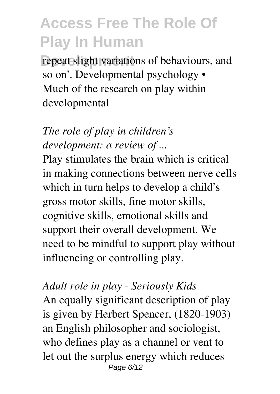repeat slight variations of behaviours, and so on'. Developmental psychology • Much of the research on play within developmental

### *The role of play in children's development: a review of ...*

Play stimulates the brain which is critical in making connections between nerve cells which in turn helps to develop a child's gross motor skills, fine motor skills, cognitive skills, emotional skills and support their overall development. We need to be mindful to support play without influencing or controlling play.

### *Adult role in play - Seriously Kids* An equally significant description of play is given by Herbert Spencer, (1820-1903) an English philosopher and sociologist, who defines play as a channel or vent to let out the surplus energy which reduces Page 6/12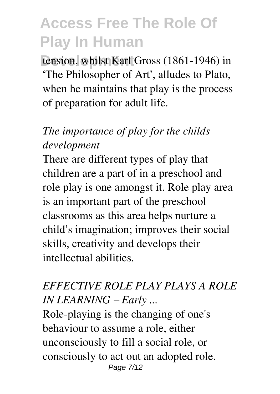tension, whilst Karl Gross (1861-1946) in 'The Philosopher of Art', alludes to Plato, when he maintains that play is the process of preparation for adult life.

### *The importance of play for the childs development*

There are different types of play that children are a part of in a preschool and role play is one amongst it. Role play area is an important part of the preschool classrooms as this area helps nurture a child's imagination; improves their social skills, creativity and develops their intellectual abilities.

### *EFFECTIVE ROLE PLAY PLAYS A ROLE IN LEARNING – Early ...*

Role-playing is the changing of one's behaviour to assume a role, either unconsciously to fill a social role, or consciously to act out an adopted role. Page 7/12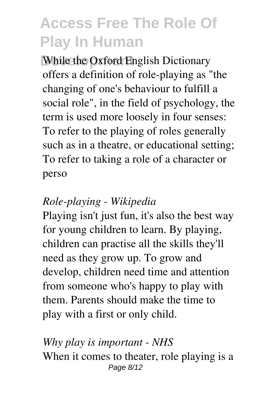**While the Oxford English Dictionary** offers a definition of role-playing as "the changing of one's behaviour to fulfill a social role", in the field of psychology, the term is used more loosely in four senses: To refer to the playing of roles generally such as in a theatre, or educational setting; To refer to taking a role of a character or perso

#### *Role-playing - Wikipedia*

Playing isn't just fun, it's also the best way for young children to learn. By playing, children can practise all the skills they'll need as they grow up. To grow and develop, children need time and attention from someone who's happy to play with them. Parents should make the time to play with a first or only child.

#### *Why play is important - NHS* When it comes to theater, role playing is a Page 8/12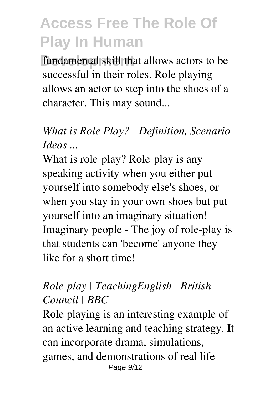**fundamental skill that allows actors to be** successful in their roles. Role playing allows an actor to step into the shoes of a character. This may sound...

### *What is Role Play? - Definition, Scenario Ideas ...*

What is role-play? Role-play is any speaking activity when you either put yourself into somebody else's shoes, or when you stay in your own shoes but put yourself into an imaginary situation! Imaginary people - The joy of role-play is that students can 'become' anyone they like for a short time!

#### *Role-play | TeachingEnglish | British Council | BBC*

Role playing is an interesting example of an active learning and teaching strategy. It can incorporate drama, simulations, games, and demonstrations of real life Page 9/12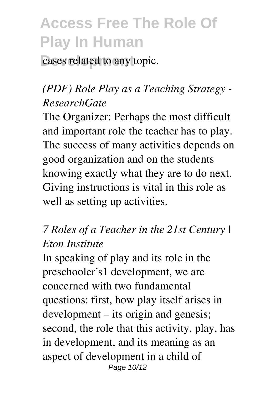cases related to any topic.

### *(PDF) Role Play as a Teaching Strategy - ResearchGate*

The Organizer: Perhaps the most difficult and important role the teacher has to play. The success of many activities depends on good organization and on the students knowing exactly what they are to do next. Giving instructions is vital in this role as well as setting up activities.

#### *7 Roles of a Teacher in the 21st Century | Eton Institute*

In speaking of play and its role in the preschooler's1 development, we are concerned with two fundamental questions: first, how play itself arises in development – its origin and genesis; second, the role that this activity, play, has in development, and its meaning as an aspect of development in a child of Page 10/12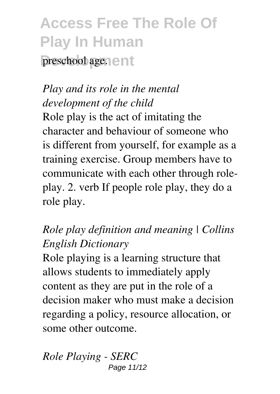# **Access Free The Role Of Play In Human** preschool age. ent

### *Play and its role in the mental development of the child*

Role play is the act of imitating the character and behaviour of someone who is different from yourself, for example as a training exercise. Group members have to communicate with each other through roleplay. 2. verb If people role play, they do a role play.

### *Role play definition and meaning | Collins English Dictionary*

Role playing is a learning structure that allows students to immediately apply content as they are put in the role of a decision maker who must make a decision regarding a policy, resource allocation, or some other outcome.

*Role Playing - SERC* Page 11/12